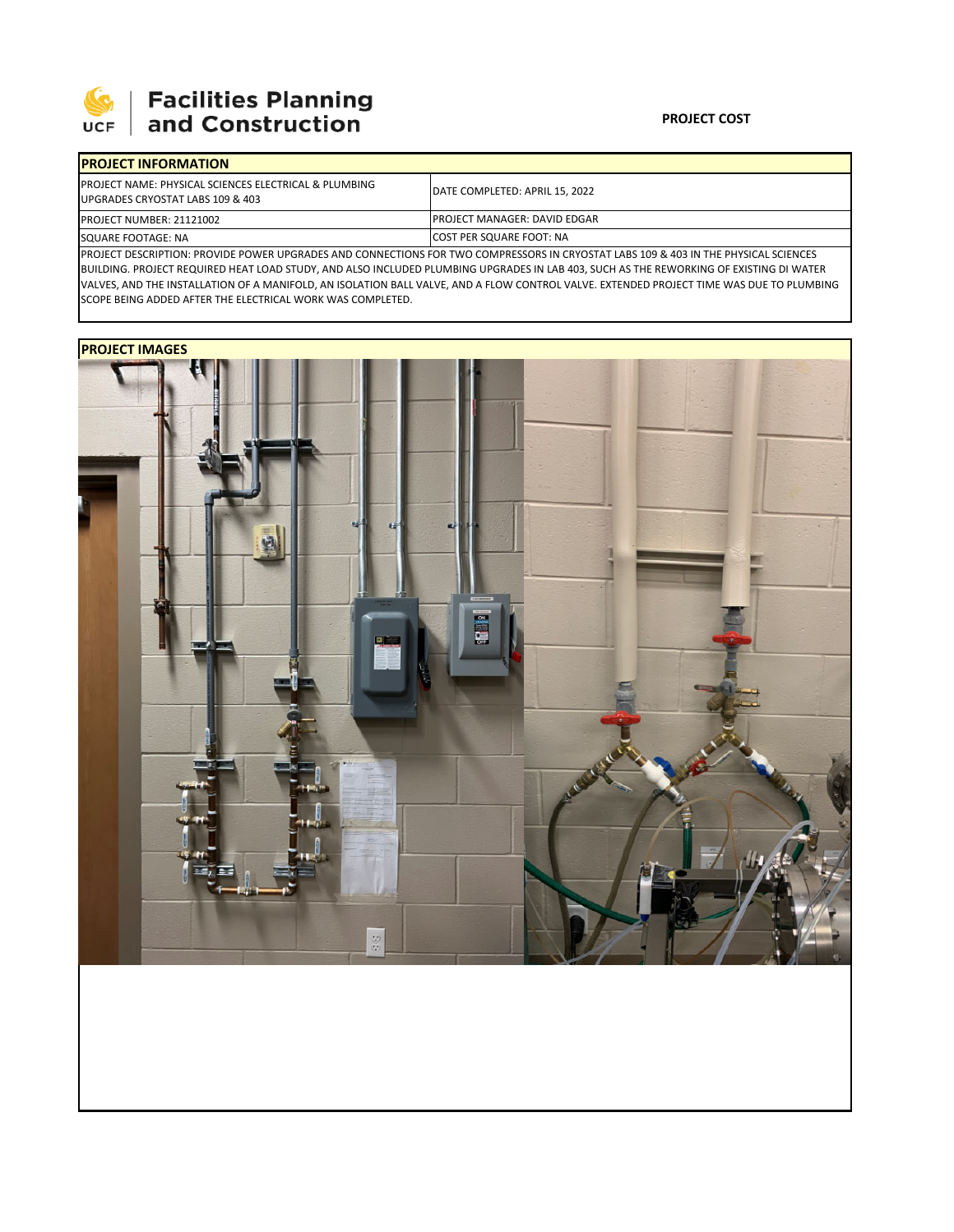

## 

## **PROJECT COST**

| <b>IPROJECT INFORMATION</b>                                                               |                                      |  |  |  |
|-------------------------------------------------------------------------------------------|--------------------------------------|--|--|--|
| PROJECT NAME: PHYSICAL SCIENCES ELECTRICAL & PLUMBING<br>UPGRADES CRYOSTAT LABS 109 & 403 | DATE COMPLETED: APRIL 15, 2022       |  |  |  |
| PROJECT NUMBER: 21121002                                                                  | <b>IPROJECT MANAGER: DAVID EDGAR</b> |  |  |  |
| SQUARE FOOTAGE: NA                                                                        | <b>COST PER SQUARE FOOT: NA</b>      |  |  |  |

PROJECT DESCRIPTION: PROVIDE POWER UPGRADES AND CONNECTIONS FOR TWO COMPRESSORS IN CRYOSTAT LABS 109 & 403 IN THE PHYSICAL SCIENCES BUILDING. PROJECT REQUIRED HEAT LOAD STUDY, AND ALSO INCLUDED PLUMBING UPGRADES IN LAB 403, SUCH AS THE REWORKING OF EXISTING DI WATER VALVES, AND THE INSTALLATION OF A MANIFOLD, AN ISOLATION BALL VALVE, AND A FLOW CONTROL VALVE. EXTENDED PROJECT TIME WAS DUE TO PLUMBING SCOPE BEING ADDED AFTER THE ELECTRICAL WORK WAS COMPLETED.